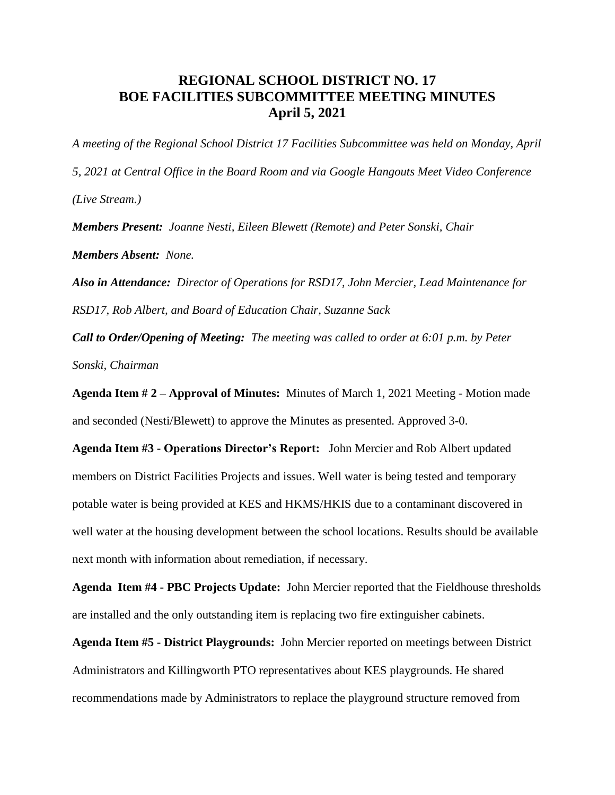## **REGIONAL SCHOOL DISTRICT NO. 17 BOE FACILITIES SUBCOMMITTEE MEETING MINUTES April 5, 2021**

*A meeting of the Regional School District 17 Facilities Subcommittee was held on Monday, April 5, 2021 at Central Office in the Board Room and via Google Hangouts Meet Video Conference (Live Stream.)*

*Members Present: Joanne Nesti, Eileen Blewett (Remote) and Peter Sonski, Chair*

*Members Absent: None.*

*Also in Attendance: Director of Operations for RSD17, John Mercier, Lead Maintenance for RSD17, Rob Albert, and Board of Education Chair, Suzanne Sack*

*Call to Order/Opening of Meeting: The meeting was called to order at 6:01 p.m. by Peter Sonski, Chairman*

**Agenda Item # 2 – Approval of Minutes:** Minutes of March 1, 2021 Meeting - Motion made and seconded (Nesti/Blewett) to approve the Minutes as presented. Approved 3-0.

**Agenda Item #3 - Operations Director's Report:** John Mercier and Rob Albert updated members on District Facilities Projects and issues. Well water is being tested and temporary potable water is being provided at KES and HKMS/HKIS due to a contaminant discovered in well water at the housing development between the school locations. Results should be available next month with information about remediation, if necessary.

**Agenda Item #4 - PBC Projects Update:** John Mercier reported that the Fieldhouse thresholds are installed and the only outstanding item is replacing two fire extinguisher cabinets.

**Agenda Item #5 - District Playgrounds:** John Mercier reported on meetings between District Administrators and Killingworth PTO representatives about KES playgrounds. He shared recommendations made by Administrators to replace the playground structure removed from